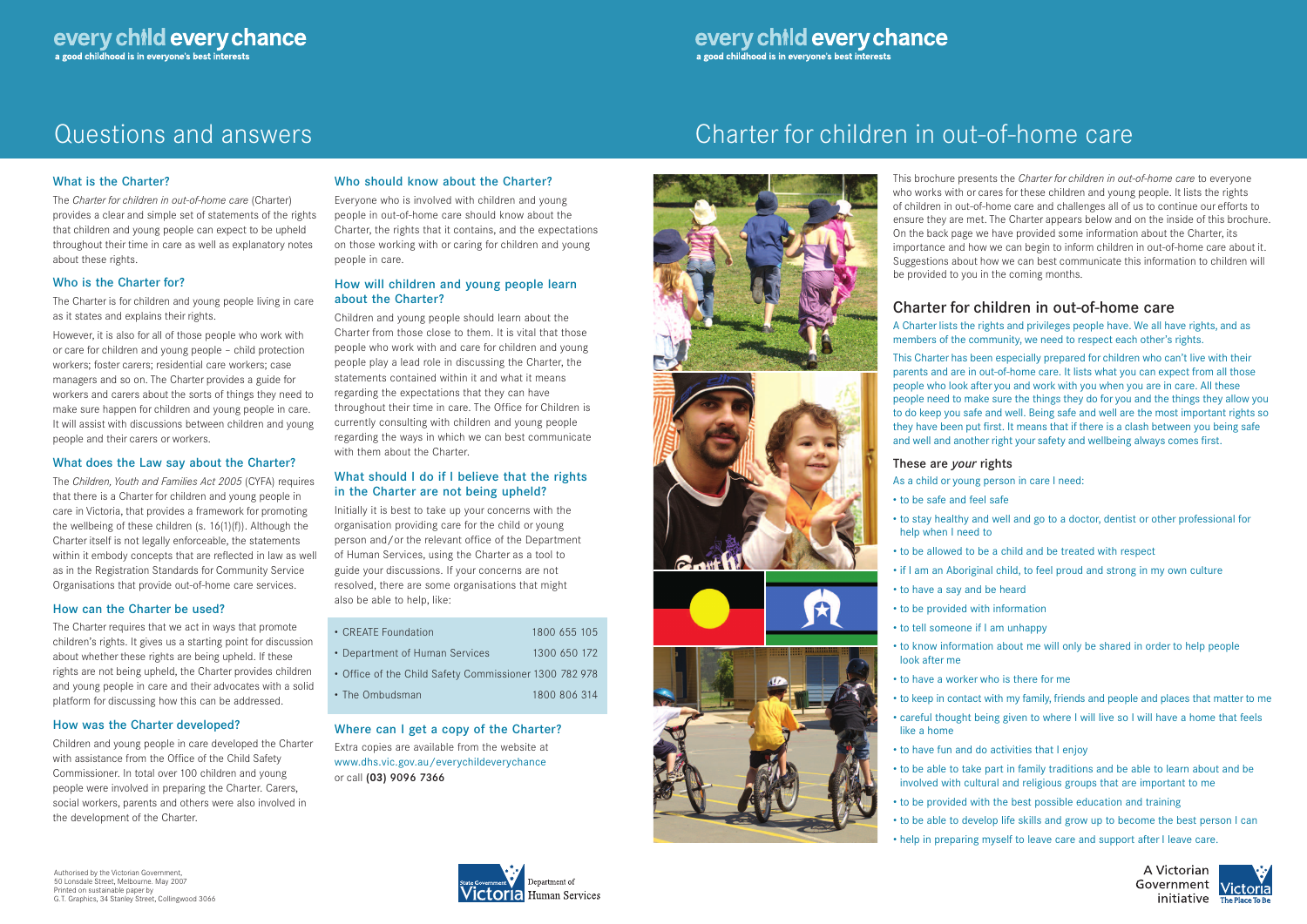# Questions and answers Charter for children in out-of-home care





### What is the Charter?

The *Charter for children in out-of-home care* (Charter) provides a clear and simple set of statements of the rights that children and young people can expect to be upheld throughout their time in care as well as explanatory notes about these rights.

### Who is the Charter for?

The Charter is for children and young people living in care as it states and explains their rights.

However, it is also for all of those people who work with or care for children and young people – child protection workers; foster carers; residential care workers; case managers and so on. The Charter provides a guide for workers and carers about the sorts of things they need to make sure happen for children and young people in care. It will assist with discussions between children and young people and their carers or workers.

#### What does the Law say about the Charter?

The *Children, Youth and Families Act 2005* (CYFA) requires that there is a Charter for children and young people in care in Victoria, that provides a framework for promoting the wellbeing of these children (s. 16(1)(f)). Although the Charter itself is not legally enforceable, the statements within it embody concepts that are reflected in law as well as in the Registration Standards for Community Service Organisations that provide out-of-home care services.

### How can the Charter be used?

The Charter requires that we act in ways that promote children's rights. It gives us a starting point for discussion about whether these rights are being upheld. If these rights are not being upheld, the Charter provides children and young people in care and their advocates with a solid platform for discussing how this can be addressed.

### How was the Charter developed?

Children and young people in care developed the Charter with assistance from the Office of the Child Safety Commissioner. In total over 100 children and young people were involved in preparing the Charter. Carers, social workers, parents and others were also involved in the development of the Charter.

### Who should know about the Charter?

Everyone who is involved with children and young people in out-of-home care should know about the Charter, the rights that it contains, and the expectations on those working with or caring for children and young people in care.

### How will children and young people learn about the Charter?

Children and young people should learn about the Charter from those close to them. It is vital that those people who work with and care for children and young people play a lead role in discussing the Charter, the statements contained within it and what it means regarding the expectations that they can have throughout their time in care. The Office for Children is currently consulting with children and young people regarding the ways in which we can best communicate with them about the Charter.

### What should I do if I believe that the rights in the Charter are not being upheld?

Initially it is best to take up your concerns with the organisation providing care for the child or young person and/or the relevant office of the Department of Human Services, using the Charter as a tool to guide your discussions. If your concerns are not resolved, there are some organisations that might also be able to help, like:

| • CREATE Foundation                                    | 1800 655 105 |  |  |
|--------------------------------------------------------|--------------|--|--|
| • Department of Human Services                         | 1300 650 172 |  |  |
| • Office of the Child Safety Commissioner 1300 782 978 |              |  |  |
| • The Ombudsman                                        | 1800 806 314 |  |  |

Where can I get a copy of the Charter? Extra copies are available from the website at www.dhs.vic.gov.au/everychildeverychance or call **(03)** 9096 7366

This brochure presents the *Charter for children in out-of-home care* to everyone who works with or cares for these children and young people. It lists the rights of children in out-of-home care and challenges all of us to continue our efforts to ensure they are met. The Charter appears below and on the inside of this brochure. On the back page we have provided some information about the Charter, its importance and how we can begin to inform children in out-of-home care about it. Suggestions about how we can best communicate this information to children will be provided to you in the coming months.

## Charter for children in out-of-home care

A Charter lists the rights and privileges people have. We all have rights, and as members of the community, we need to respect each other's rights.

This Charter has been especially prepared for children who can't live with their parents and are in out-of-home care. It lists what you can expect from all those people who look after you and work with you when you are in care. All these people need to make sure the things they do for you and the things they allow you to do keep you safe and well. Being safe and well are the most important rights so they have been put first. It means that if there is a clash between you being safe and well and another right your safety and wellbeing always comes first.

## These are *your* rights

As a child or young person in care I need:

• to be safe and feel safe

- 
- to stay healthy and well and go to a doctor, dentist or other professional for
- to be allowed to be a child and be treated with respect
- if I am an Aboriginal child, to feel proud and strong in my own culture
	-
	-
	-
- to know information about me will only be shared in order to help people
- careful thought being given to where I will live so I will have a home that feels
- to have fun and do activities that I enjoy
- to be able to take part in family traditions and be able to learn about and be involved with cultural and religious groups that are important to me
- to be provided with the best possible education and training
- to be able to develop life skills and grow up to become the best person I can





- 
- help when I need to
- 
- to have a say and be heard
	- to be provided with information
	- to tell someone if I am unhappy
	- look after me
	- to have a worker who is there for me
	- to keep in contact with my family, friends and people and places that matter to me
- like a home
- 
- -
	-
	- help in preparing myself to leave care and support after I leave care.